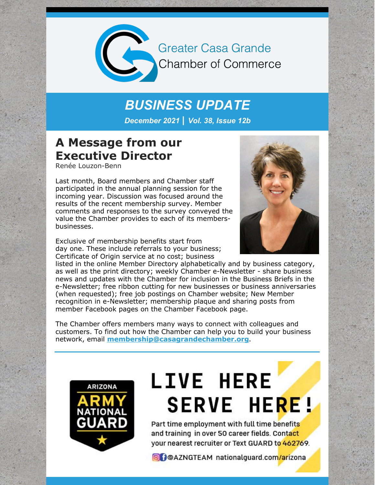

**Greater Casa Grande** Chamber of Commerce

## *BUSINESS UPDATE*

*December 2021 | Vol. 38, Issue 12b*

### **A Message from our Executive Director**

Renée Louzon-Benn

Last month, Board members and Chamber staff participated in the annual planning session for the incoming year. Discussion was focused around the results of the recent membership survey. Member comments and responses to the survey conveyed the value the Chamber provides to each of its membersbusinesses.

Exclusive of membership benefits start from day one. These include referrals to your business; Certificate of Origin service at no cost; business



listed in the online Member Directory alphabetically and by business category, as well as the print directory; weekly Chamber e-Newsletter - share business news and updates with the Chamber for inclusion in the Business Briefs in the e-Newsletter; free ribbon cutting for new businesses or business anniversaries (when requested); free job postings on Chamber website; New Member recognition in e-Newsletter; membership plaque and sharing posts from member Facebook pages on the Chamber Facebook page.

The Chamber offers members many ways to connect with colleagues and customers. To find out how the Chamber can help you to build your business network, email **[membership@casagrandechamber.org](mailto:membership@casagrandechamber.org)**.



# **LIVE HERE SERVE HERE!**

Part time employment with full time benefits and training in over 50 career fields. Contact your nearest recruiter or Text GUARD to 462769.

O DOAZNGTEAM nationalguard.com/arizona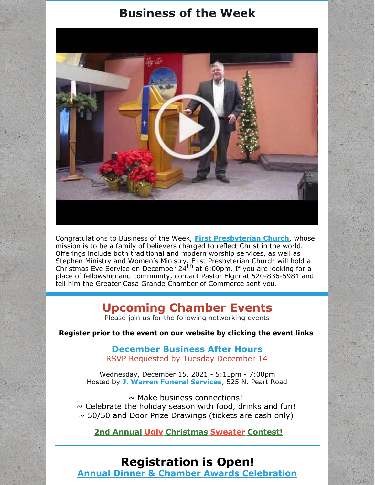### **Business of the Week**



Congratulations to Business of the Week, **First [Presbyterian](http://www.firstpresbyteriancasagrande.com/) Church**, whose mission is to be a family of believers charged to reflect Christ in the world. Offerings include both traditional and modern worship services, as well as Stephen Ministry and Women's Ministry. First Presbyterian Church will hold a Christmas Eve Service on December 24 th at 6:00pm. If you are looking for a place of fellowship and community, contact Pastor Elgin at 520-836-5981 and tell him the Greater Casa Grande Chamber of Commerce sent you.

### **Upcoming Chamber Events**

Please join us for the following networking events

**Register prior to the event on our website by clicking the event links**

**[December](https://cca.casagrandechamber.org/EvtListing.aspx?dbid2=AZCAGR&evtid=24211&class=E) Business After Hours** RSVP Requested by Tuesday December 14

Wednesday, December 15, 2021 - 5:15pm - 7:00pm Hosted by **J. Warren Funeral [Services](http://www.jwarrenfuneral.com)**, 525 N. Peart Road

 $\sim$  Make business connections!  $\sim$  Celebrate the holiday season with food, drinks and fun!  $\sim$  50/50 and Door Prize Drawings (tickets are cash only)

**2nd Annual Ugly Christmas Sweater Contest!**

### **Registration is Open!**

**Annual Dinner & Chamber Awards [Celebration](https://cca.casagrandechamber.org/EvtListing.aspx?dbid2=AZCAGR&evtid=27802&class=E)**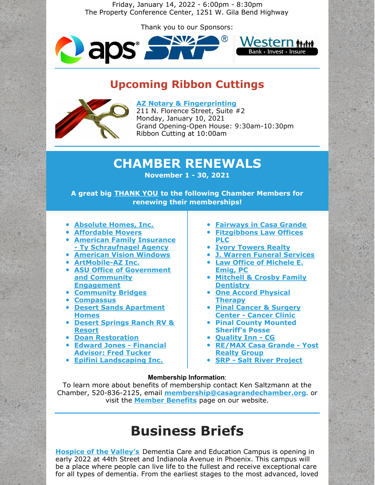Friday, January 14, 2022 - 6:00pm - 8:30pm The Property Conference Center, 1251 W. Gila Bend Highway

Thank you to our Sponsors:



### **Upcoming Ribbon Cuttings**



#### **AZ Notary & [Fingerprinting](http://www.aznotaryandfingerprinting.com)**

211 N. Florence Street, Suite #2 Monday, January 10, 2021 Grand Opening-Open House: 9:30am-10:30pm Ribbon Cutting at 10:00am

### **CHAMBER RENEWALS**

**November 1 - 30, 2021**

**A great big THANK YOU to the following Chamber Members for renewing their memberships!**

- **[Absolute](http://www.absoluteconstructionaz.com) Homes, Inc.**
- **[Affordable](http://affordablemovers.centurylinksite.net/) Movers**
- **American Family Insurance - Ty [Schraufnagel](http://www.tyschraufnagel.com) Agency**
- **[American](http://www.americanvisionwindowsaz.com) Vision Windows**
- **[ArtMobile-AZ](http://www.artmobilevan.org) Inc.**
- **ASU Office of Government and Community [Engagement](http://www.asu.edu)**
- **[Community](http://communitybridgesaz.org) Bridges**
- **[Compassus](http://www.compassus.com/casa-grande)**
- **Desert Sands [Apartment](http://www.hsldesertsands.com) Homes**
- **Desert [Springs](https://www.desertspringsranch.com/) Ranch RV & Resort**
- **Doan [Restoration](http://www.doanrestoration.com)**
- **Edward Jones - [Financial](http://www.edwardjones.com/fred-tucker) Advisor: Fred Tucker**
- **Epifini [Landscaping](http://www.epifiniinc.com) Inc.**
- **[Fairways](http://www.fairwaysaz.com) in Casa Grande**
- **[Fitzgibbons](http://www.fitzgibbonslaw.com) Law Offices PLC**
- **Ivory [Towers](http://www.ivtowersrealty.com) Realty**
- **J. Warren Funeral [Services](http://www.jwarrenfuneral.com)**
- **Law Office of [Michele](http://www.emiglaw.com) E. Emig, PC**
- **Mitchell & Crosby Family [Dentistry](http://www.mitchellandcrosbydental.com)**
- **One Accord [Physical](http://www.oneaccordpt.com) Therapy**
- **Pinal Cancer & [Surgery](https://www.pinalcancersurgery.com/) Center - Cancer Clinic**
- **Pinal County Mounted Sheriff's Posse**
- **[Quality](http://www.choicehotels.com) Inn - CG**
- **[RE/MAX](http://www.yosthomes.com) Casa Grande - Yost Realty Group**
- **SRP - Salt River [Project](http://www.srpnet.com)**

#### **Membership Information**:

To learn more about benefits of membership contact Ken Saltzmann at the Chamber, 520-836-2125, email **[membership@casagrandechamber.org](mailto:membership@casagrandechamber.org)**. or visit the **Member [Benefits](https://casagrandechamber.org/member-benefits/)** page on our website.

### **Business Briefs**

**[Hospice](http://www.hov.org) of the Valley's** Dementia Care and Education Campus is opening in early 2022 at 44th Street and Indianola Avenue in Phoenix. This campus will be a place where people can live life to the fullest and receive exceptional care for all types of dementia. From the earliest stages to the most advanced, loved